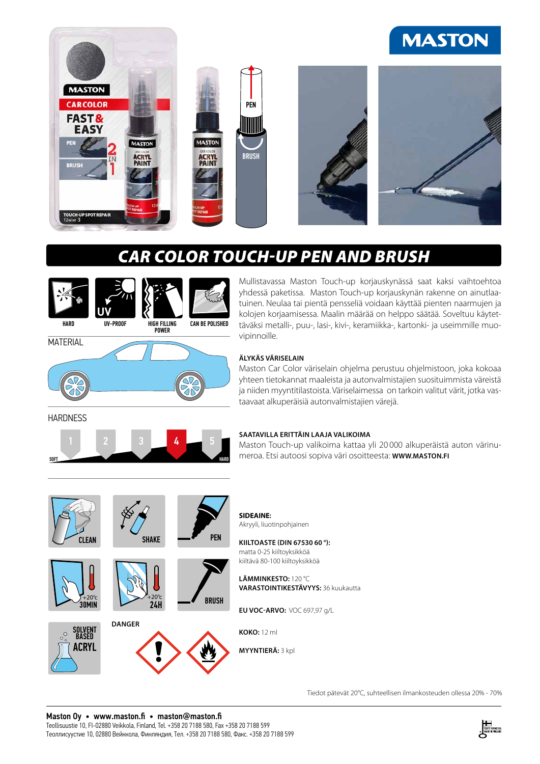# **MASTON**



# *CAR COLOR TOUCH-UP PEN AND BRUSH*



**UV**



Mullistavassa Maston Touch-up korjauskynässä saat kaksi vaihtoehtoa yhdessä paketissa. Maston Touch-up korjauskynän rakenne on ainutlaatuinen. Neulaa tai pientä pensseliä voidaan käyttää pienten naarmujen ja kolojen korjaamisessa. Maalin määrää on helppo säätää. Soveltuu käytettäväksi metalli-, puu-, lasi-, kivi-, keramiikka-, kartonki- ja useimmille muovipinnoille.

## **MATERIAL**



#### **ÄLYKÄS VÄRISELAIN**

Maston Car Color väriselain ohjelma perustuu ohjelmistoon, joka kokoaa yhteen tietokannat maaleista ja autonvalmistajien suosituimmista väreistä ja niiden myyntitilastoista. Väriselaimessa on tarkoin valitut värit, jotka vastaavaat alkuperäisiä autonvalmistajien värejä.

**HARDNESS** 



#### **SAATAVILLA ERITTÄIN LAAJA VALIKOIMA**

Maston Touch-up valikoima kattaa yli 20 000 alkuperäistä auton värinumeroa. Etsi autoosi sopiva väri osoitteesta: **WWW.MASTON.FI**





















**SIDEAINE:** Akryyli, liuotinpohjainen

**KIILTOASTE (DIN 67530 60 °):** matta 0-25 kiiltoyksikköä kiiltävä 80-100 kiiltoyksikköä

**LÄMMINKESTO:** 120 °C **VARASTOINTIKESTÄVYYS:** 36 kuukautta

**EU VOC-ARVO:** VOC 697,97 g/L

**KOKO:** 12 ml

**MYYNTIERÄ:** 3 kpl

Tiedot pätevät 20°C, suhteellisen ilmankosteuden ollessa 20% - 70%

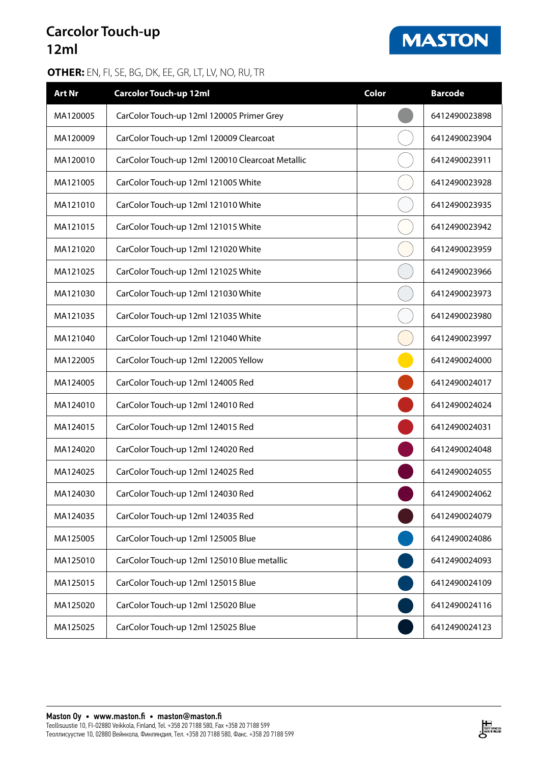## **Carcolor Touch-up 12ml**

### **OTHER:** EN, FI, SE, BG, DK, EE, GR, LT, LV, NO, RU, TR

| <b>Art Nr</b> | <b>Carcolor Touch-up 12ml</b>                    | Color | <b>Barcode</b> |
|---------------|--------------------------------------------------|-------|----------------|
| MA120005      | CarColor Touch-up 12ml 120005 Primer Grey        |       | 6412490023898  |
| MA120009      | CarColor Touch-up 12ml 120009 Clearcoat          |       | 6412490023904  |
| MA120010      | CarColor Touch-up 12ml 120010 Clearcoat Metallic |       | 6412490023911  |
| MA121005      | CarColor Touch-up 12ml 121005 White              |       | 6412490023928  |
| MA121010      | CarColor Touch-up 12ml 121010 White              |       | 6412490023935  |
| MA121015      | CarColor Touch-up 12ml 121015 White              |       | 6412490023942  |
| MA121020      | CarColor Touch-up 12ml 121020 White              |       | 6412490023959  |
| MA121025      | CarColor Touch-up 12ml 121025 White              |       | 6412490023966  |
| MA121030      | CarColor Touch-up 12ml 121030 White              |       | 6412490023973  |
| MA121035      | CarColor Touch-up 12ml 121035 White              |       | 6412490023980  |
| MA121040      | CarColor Touch-up 12ml 121040 White              |       | 6412490023997  |
| MA122005      | CarColor Touch-up 12ml 122005 Yellow             |       | 6412490024000  |
| MA124005      | CarColor Touch-up 12ml 124005 Red                |       | 6412490024017  |
| MA124010      | CarColor Touch-up 12ml 124010 Red                |       | 6412490024024  |
| MA124015      | CarColor Touch-up 12ml 124015 Red                |       | 6412490024031  |
| MA124020      | CarColor Touch-up 12ml 124020 Red                |       | 6412490024048  |
| MA124025      | CarColor Touch-up 12ml 124025 Red                |       | 6412490024055  |
| MA124030      | CarColor Touch-up 12ml 124030 Red                |       | 6412490024062  |
| MA124035      | CarColor Touch-up 12ml 124035 Red                |       | 6412490024079  |
| MA125005      | CarColor Touch-up 12ml 125005 Blue               |       | 6412490024086  |
| MA125010      | CarColor Touch-up 12ml 125010 Blue metallic      |       | 6412490024093  |
| MA125015      | CarColor Touch-up 12ml 125015 Blue               |       | 6412490024109  |
| MA125020      | CarColor Touch-up 12ml 125020 Blue               |       | 6412490024116  |
| MA125025      | CarColor Touch-up 12ml 125025 Blue               |       | 6412490024123  |